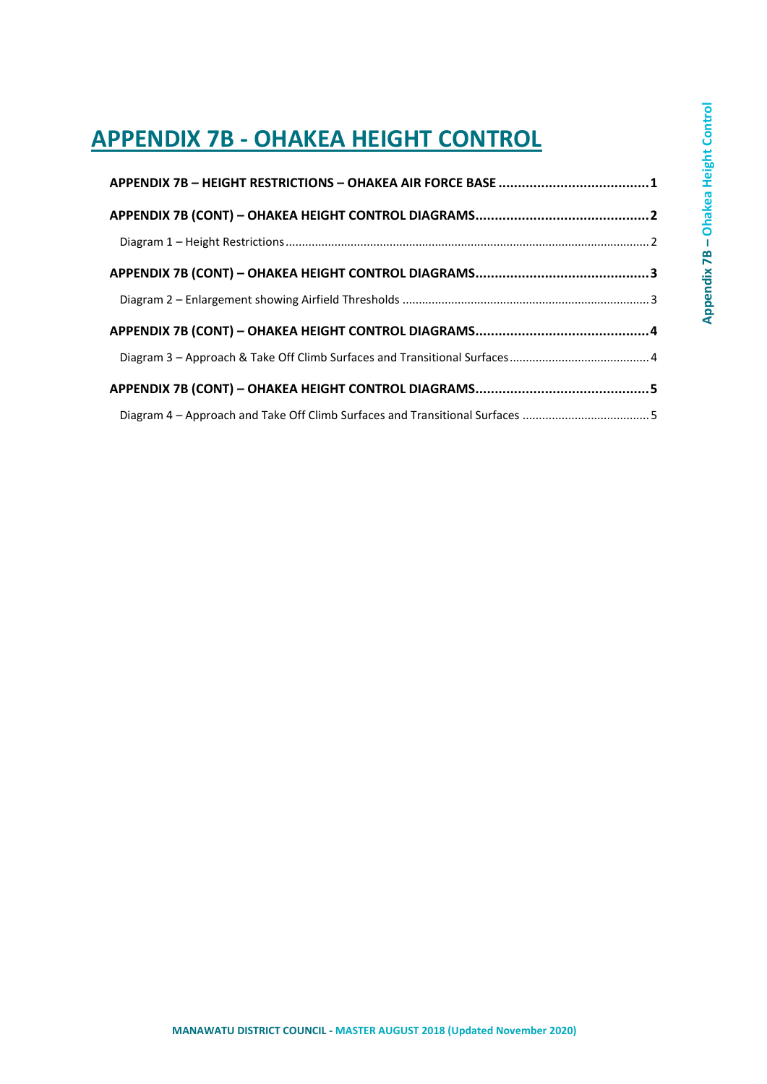## **APPENDIX 7B - OHAKEA HEIGHT CONTROL**

| Diagram 4 - Approach and Take Off Climb Surfaces and Transitional Surfaces 5 |  |
|------------------------------------------------------------------------------|--|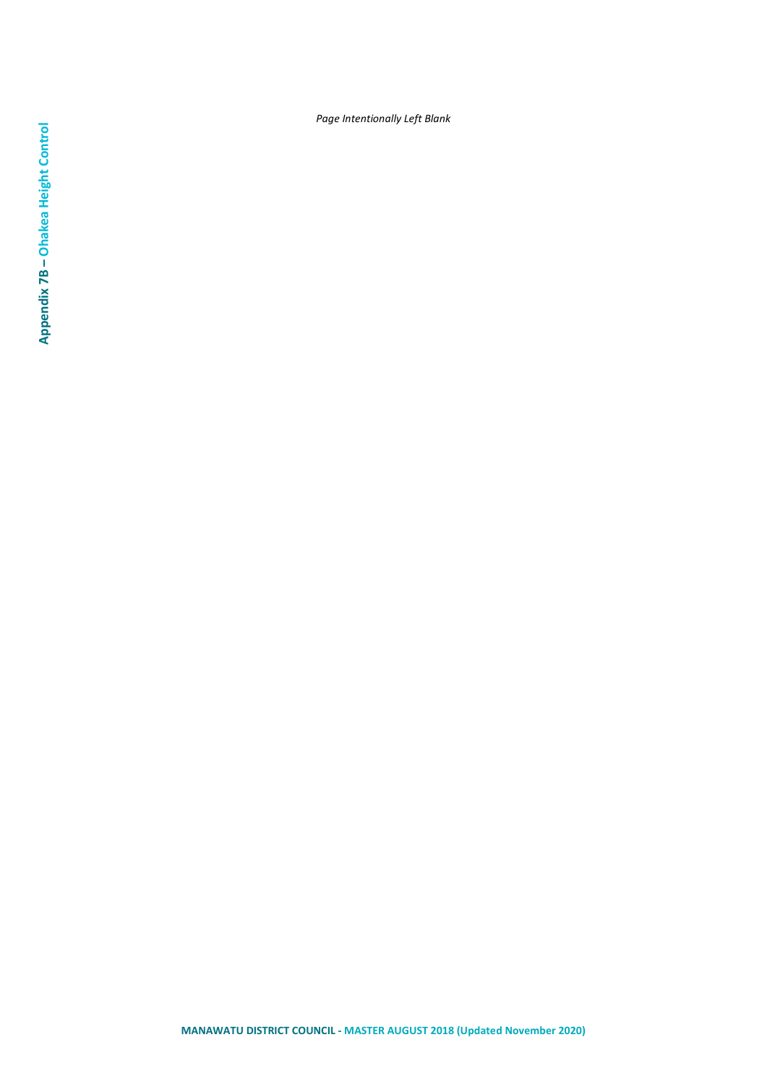*Page Intentionally Left Blank*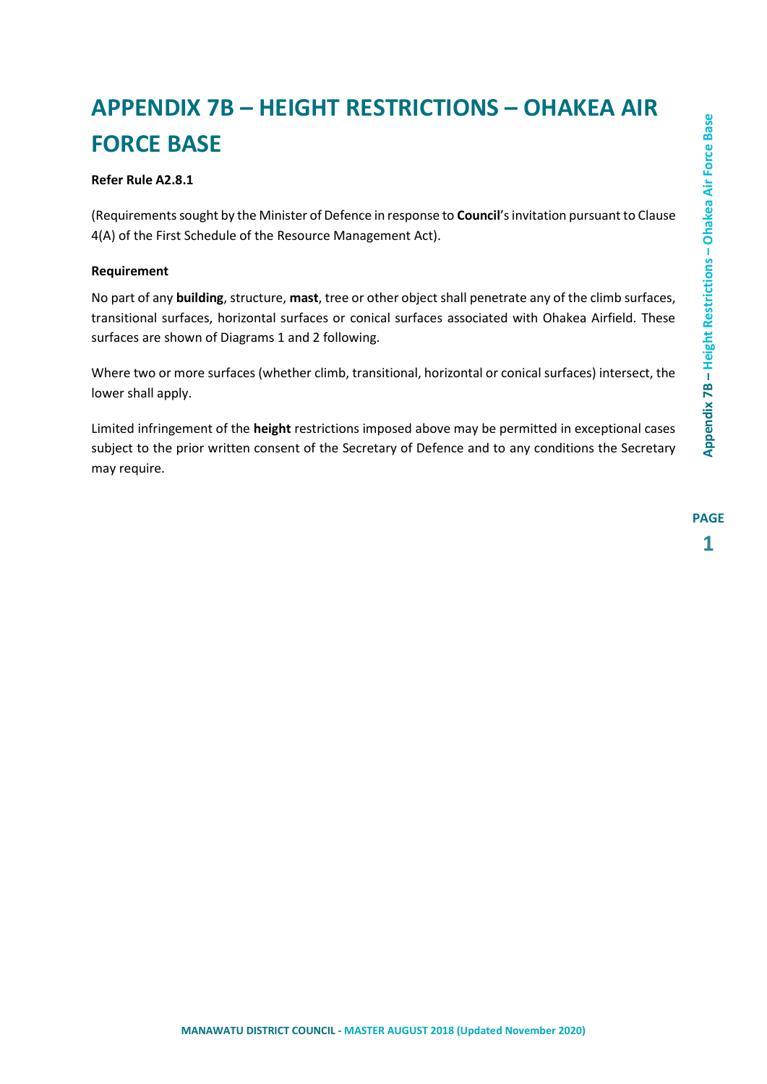# <span id="page-2-0"></span>**APPENDIX 7B – HEIGHT RESTRICTIONS – OHAKEA AIR FORCE BASE**

### **Refer Rule A2.8.1**

(Requirements sought by the Minister of Defence in response to **Council**'s invitation pursuant to Clause 4(A) of the First Schedule of the Resource Management Act).

#### **Requirement**

No part of any **building**, structure, **mast**, tree or other object shall penetrate any of the climb surfaces, transitional surfaces, horizontal surfaces or conical surfaces associated with Ohakea Airfield. These surfaces are shown of Diagrams 1 and 2 following.

Where two or more surfaces (whether climb, transitional, horizontal or conical surfaces) intersect, the lower shall apply.

Limited infringement of the **height** restrictions imposed above may be permitted in exceptional cases subject to the prior written consent of the Secretary of Defence and to any conditions the Secretary may require.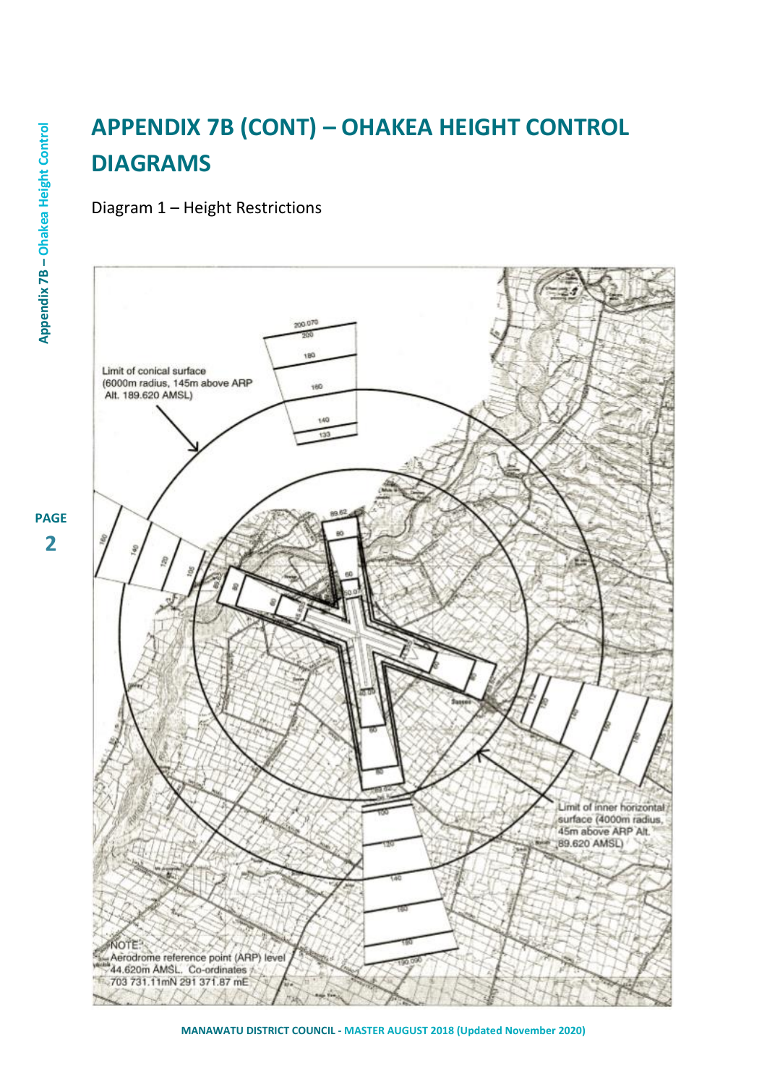## <span id="page-3-0"></span>**APPENDIX 7B (CONT) – OHAKEA HEIGHT CONTROL DIAGRAMS**

## <span id="page-3-1"></span>Diagram 1 – Height Restrictions



**MANAWATU DISTRICT COUNCIL - MASTER AUGUST 2018 (Updated November 2020)**

**PAGE 2**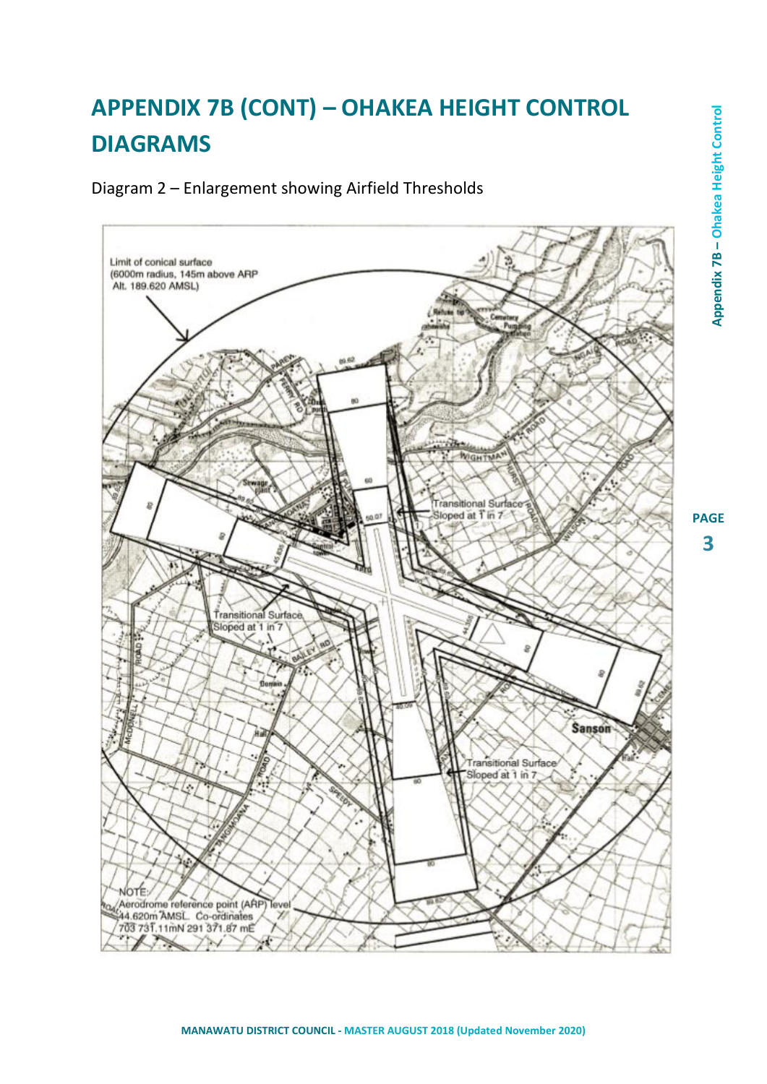## <span id="page-4-0"></span>**APPENDIX 7B (CONT) – OHAKEA HEIGHT CONTROL DIAGRAMS**

<span id="page-4-1"></span>Diagram 2 – Enlargement showing Airfield Thresholds



**PAGE** 3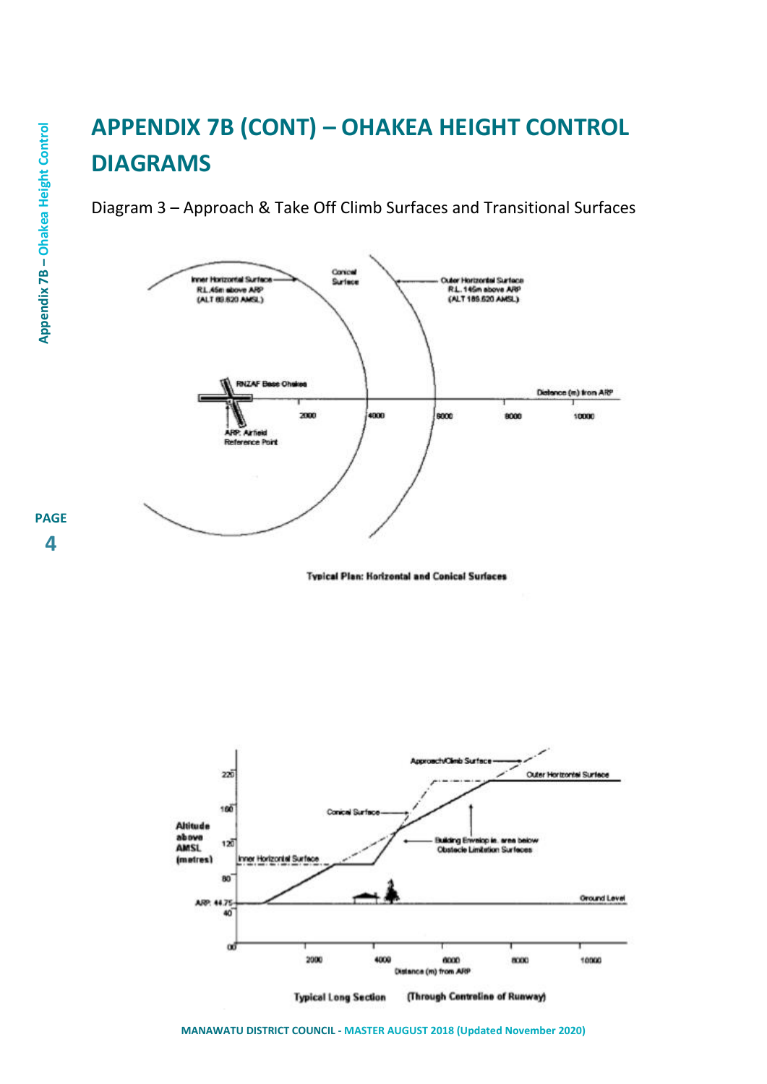## <span id="page-5-0"></span>**APPENDIX 7B (CONT) – OHAKEA HEIGHT CONTROL DIAGRAMS**

<span id="page-5-1"></span>Diagram 3 – Approach & Take Off Climb Surfaces and Transitional Surfaces



**Typical Plan: Horizontal and Conical Surfaces**